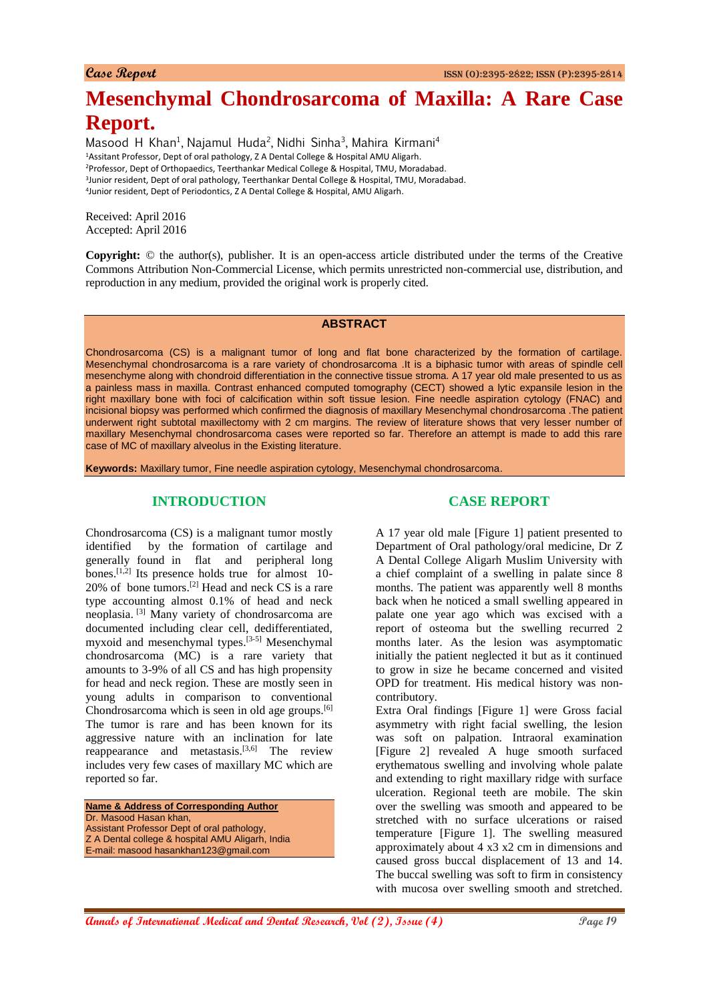# **Mesenchymal Chondrosarcoma of Maxilla: A Rare Case Report.**

Masood H Khan<sup>1</sup>, Najamul Huda<sup>2</sup>, Nidhi Sinha<sup>3</sup>, Mahira Kirmani<sup>4</sup> Assitant Professor, Dept of oral pathology, Z A Dental College & Hospital AMU Aligarh. Professor, Dept of Orthopaedics, Teerthankar Medical College & Hospital, TMU, Moradabad. Junior resident, Dept of oral pathology, Teerthankar Dental College & Hospital, TMU, Moradabad. Junior resident, Dept of Periodontics, Z A Dental College & Hospital, AMU Aligarh.

Received: April 2016 Accepted: April 2016

**Copyright:** © the author(s), publisher. It is an open-access article distributed under the terms of the Creative Commons Attribution Non-Commercial License, which permits unrestricted non-commercial use, distribution, and reproduction in any medium, provided the original work is properly cited.

#### **ABSTRACT**

Chondrosarcoma (CS) is a malignant tumor of long and flat bone characterized by the formation of cartilage. Mesenchymal chondrosarcoma is a rare variety of chondrosarcoma .It is a biphasic tumor with areas of spindle cell mesenchyme along with chondroid differentiation in the connective tissue stroma. A 17 year old male presented to us as a painless mass in maxilla. Contrast enhanced computed tomography (CECT) showed a lytic expansile lesion in the right maxillary bone with foci of calcification within soft tissue lesion. Fine needle aspiration cytology (FNAC) and incisional biopsy was performed which confirmed the diagnosis of maxillary Mesenchymal chondrosarcoma .The patient underwent right subtotal maxillectomy with 2 cm margins. The review of literature shows that very lesser number of maxillary Mesenchymal chondrosarcoma cases were reported so far. Therefore an attempt is made to add this rare case of MC of maxillary alveolus in the Existing literature.

**Keywords:** Maxillary tumor, Fine needle aspiration cytology, Mesenchymal chondrosarcoma.

## **INTRODUCTION**

Chondrosarcoma (CS) is a malignant tumor mostly identified by the formation of cartilage and generally found in flat and peripheral long bones.<sup>[1,2]</sup> Its presence holds true for almost 10-20% of bone tumors. [2] Head and neck CS is a rare type accounting almost 0.1% of head and neck neoplasia. [3] Many variety of chondrosarcoma are documented including clear cell, dedifferentiated, myxoid and mesenchymal types. [3-5] Mesenchymal chondrosarcoma (MC) is a rare variety that amounts to 3-9% of all CS and has high propensity for head and neck region. These are mostly seen in young adults in comparison to conventional Chondrosarcoma which is seen in old age groups.[6] The tumor is rare and has been known for its aggressive nature with an inclination for late reappearance and metastasis. $[3,6]$  The review includes very few cases of maxillary MC which are reported so far.

**Name & Address of Corresponding Author** Dr. Masood Hasan khan, Assistant Professor Dept of oral pathology, Z A Dental college & hospital AMU Aligarh, India E-mail: masood hasankhan123@gmail.com

## **CASE REPORT**

A 17 year old male [Figure 1] patient presented to Department of Oral pathology/oral medicine, Dr Z A Dental College Aligarh Muslim University with a chief complaint of a swelling in palate since 8 months. The patient was apparently well 8 months back when he noticed a small swelling appeared in palate one year ago which was excised with a report of osteoma but the swelling recurred 2 months later. As the lesion was asymptomatic initially the patient neglected it but as it continued to grow in size he became concerned and visited OPD for treatment. His medical history was noncontributory.

Extra Oral findings [Figure 1] were Gross facial asymmetry with right facial swelling, the lesion was soft on palpation. Intraoral examination [Figure 2] revealed A huge smooth surfaced erythematous swelling and involving whole palate and extending to right maxillary ridge with surface ulceration. Regional teeth are mobile. The skin over the swelling was smooth and appeared to be stretched with no surface ulcerations or raised temperature [Figure 1]. The swelling measured approximately about 4 x3 x2 cm in dimensions and caused gross buccal displacement of 13 and 14. The buccal swelling was soft to firm in consistency with mucosa over swelling smooth and stretched.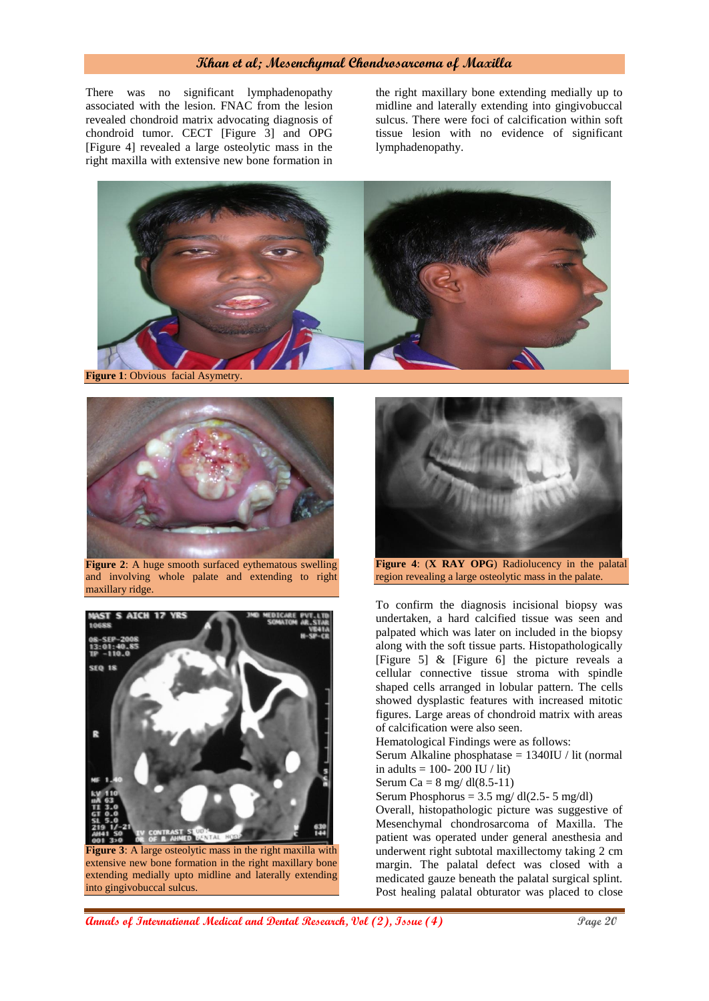## **Khan et al; Mesenchymal Chondrosarcoma of Maxilla**

There was no significant lymphadenopathy associated with the lesion. FNAC from the lesion revealed chondroid matrix advocating diagnosis of chondroid tumor. CECT [Figure 3] and OPG [Figure 4] revealed a large osteolytic mass in the right maxilla with extensive new bone formation in

the right maxillary bone extending medially up to midline and laterally extending into gingivobuccal sulcus. There were foci of calcification within soft tissue lesion with no evidence of significant lymphadenopathy.







**Figure 2:** A huge smooth surfaced eythematous swelling and involving whole palate and extending to right maxillary ridge.



into gingivobuccal sulcus.

**Figure 4**: (**X RAY OPG**) Radiolucency in the palatal region revealing a large osteolytic mass in the palate.

To confirm the diagnosis incisional biopsy was undertaken, a hard calcified tissue was seen and palpated which was later on included in the biopsy along with the soft tissue parts. Histopathologically [Figure 5] & [Figure 6] the picture reveals a cellular connective tissue stroma with spindle shaped cells arranged in lobular pattern. The cells showed dysplastic features with increased mitotic figures. Large areas of chondroid matrix with areas of calcification were also seen.

Hematological Findings were as follows:

Serum Alkaline phosphatase = 1340IU / lit (normal in adults =  $100 - 200$  IU / lit)

Serum Ca =  $8 \text{ mg}/ \text{d} (8.5-11)$ 

Serum Phosphorus =  $3.5 \text{ mg/dl}(2.5-5 \text{ mg/dl})$ 

Overall, histopathologic picture was suggestive of Mesenchymal chondrosarcoma of Maxilla. The patient was operated under general anesthesia and underwent right subtotal maxillectomy taking 2 cm margin. The palatal defect was closed with a medicated gauze beneath the palatal surgical splint. Post healing palatal obturator was placed to close

**Annals of International Medical and Dental Research, Vol (2), Issue (4) Page 20**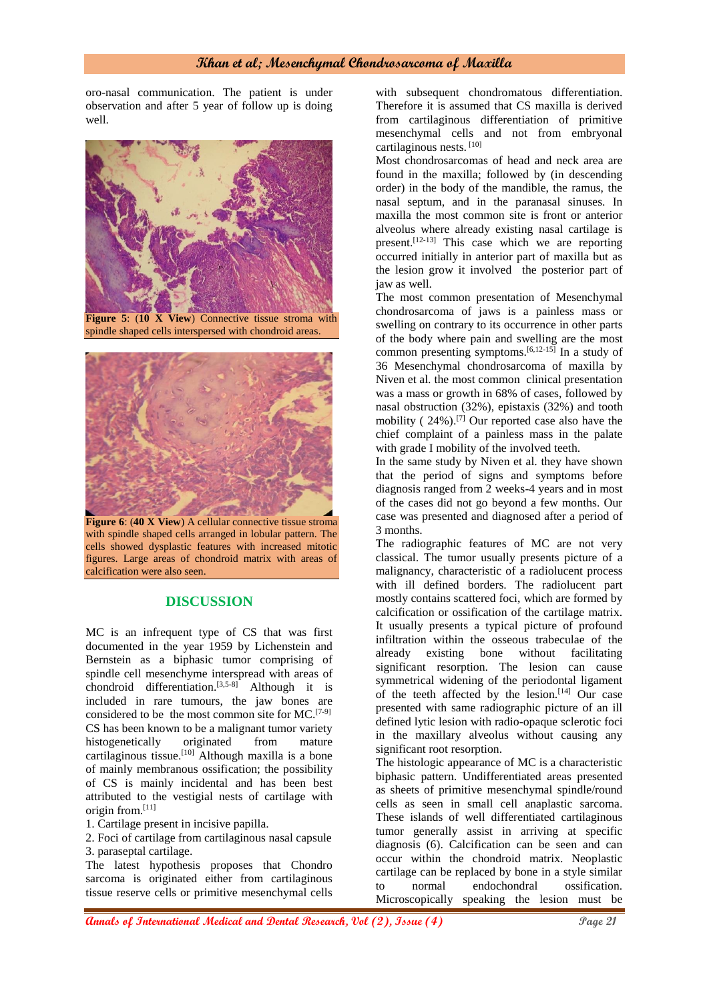oro-nasal communication. The patient is under observation and after 5 year of follow up is doing well.



**Figure 5**: (**10 X View**) Connective tissue stroma with spindle shaped cells interspersed with chondroid areas.



**Figure 6**: (40 X View) A cellular connective tissue stroma with spindle shaped cells arranged in lobular pattern. The cells showed dysplastic features with increased mitotic figures. Large areas of chondroid matrix with areas of calcification were also seen.

### **DISCUSSION**

MC is an infrequent type of CS that was first documented in the year 1959 by Lichenstein and Bernstein as a biphasic tumor comprising of spindle cell mesenchyme interspread with areas of chondroid differentiation. [3,5-8] Although it is included in rare tumours, the jaw bones are considered to be the most common site for MC. [7-9] CS has been known to be a malignant tumor variety histogenetically originated from mature cartilaginous tissue. [10] Although maxilla is a bone of mainly membranous ossification; the possibility of CS is mainly incidental and has been best attributed to the vestigial nests of cartilage with origin from. [11]

1. Cartilage present in incisive papilla.

2. Foci of cartilage from cartilaginous nasal capsule 3. paraseptal cartilage.

The latest hypothesis proposes that Chondro sarcoma is originated either from cartilaginous tissue reserve cells or primitive mesenchymal cells with subsequent chondromatous differentiation. Therefore it is assumed that CS maxilla is derived from cartilaginous differentiation of primitive mesenchymal cells and not from embryonal cartilaginous nests. [10]

Most chondrosarcomas of head and neck area are found in the maxilla; followed by (in descending order) in the body of the mandible, the ramus, the nasal septum, and in the paranasal sinuses. In maxilla the most common site is front or anterior alveolus where already existing nasal cartilage is present. [12-13] This case which we are reporting occurred initially in anterior part of maxilla but as the lesion grow it involved the posterior part of jaw as well.

The most common presentation of Mesenchymal chondrosarcoma of jaws is a painless mass or swelling on contrary to its occurrence in other parts of the body where pain and swelling are the most common presenting symptoms. [6,12-15] In a study of 36 Mesenchymal chondrosarcoma of maxilla by Niven et al. the most common clinical presentation was a mass or growth in 68% of cases, followed by nasal obstruction (32%), epistaxis (32%) and tooth mobility ( 24%). [7] Our reported case also have the chief complaint of a painless mass in the palate with grade I mobility of the involved teeth.

In the same study by Niven et al. they have shown that the period of signs and symptoms before diagnosis ranged from 2 weeks-4 years and in most of the cases did not go beyond a few months. Our case was presented and diagnosed after a period of 3 months.

The radiographic features of MC are not very classical. The tumor usually presents picture of a malignancy, characteristic of a radiolucent process with ill defined borders. The radiolucent part mostly contains scattered foci, which are formed by calcification or ossification of the cartilage matrix. It usually presents a typical picture of profound infiltration within the osseous trabeculae of the already existing bone without facilitating significant resorption. The lesion can cause symmetrical widening of the periodontal ligament of the teeth affected by the lesion. $[14]$  Our case presented with same radiographic picture of an ill defined lytic lesion with radio-opaque sclerotic foci in the maxillary alveolus without causing any significant root resorption.

The histologic appearance of MC is a characteristic biphasic pattern. Undifferentiated areas presented as sheets of primitive mesenchymal spindle/round cells as seen in small cell anaplastic sarcoma. These islands of well differentiated cartilaginous tumor generally assist in arriving at specific diagnosis (6). Calcification can be seen and can occur within the chondroid matrix. Neoplastic cartilage can be replaced by bone in a style similar to normal endochondral ossification. Microscopically speaking the lesion must be